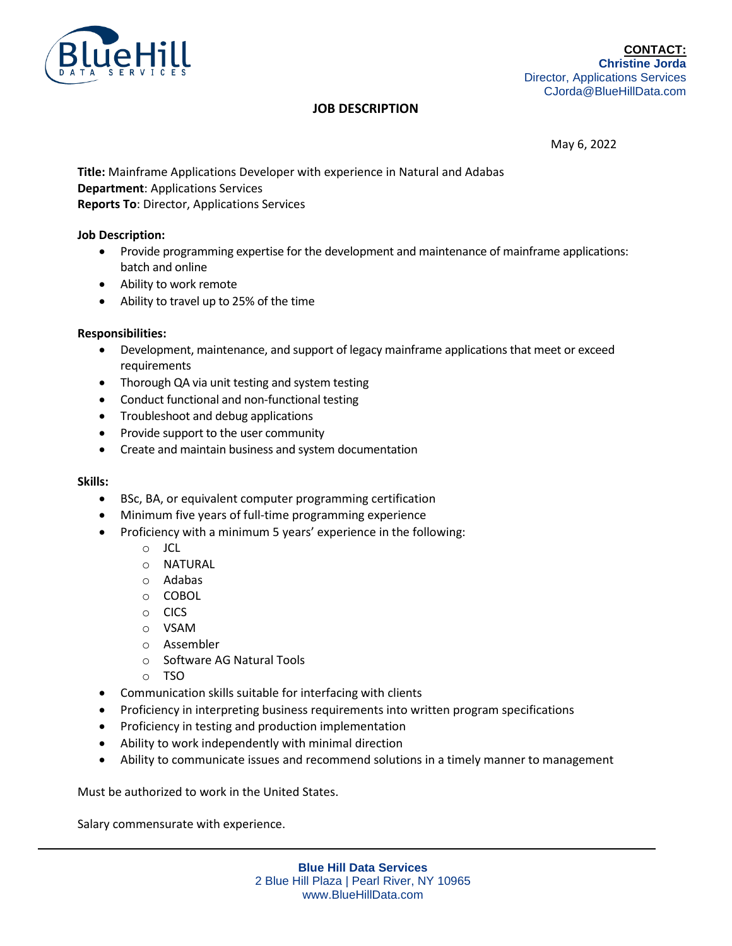

# **JOB DESCRIPTION**

May 6, 2022

**Title:** Mainframe Applications Developer with experience in Natural and Adabas **Department**: Applications Services **Reports To**: Director, Applications Services

### **Job Description:**

- Provide programming expertise for the development and maintenance of mainframe applications: batch and online
- Ability to work remote
- Ability to travel up to 25% of the time

#### **Responsibilities:**

- Development, maintenance, and support of legacy mainframe applications that meet or exceed requirements
- Thorough QA via unit testing and system testing
- Conduct functional and non-functional testing
- Troubleshoot and debug applications
- Provide support to the user community
- Create and maintain business and system documentation

#### **Skills:**

- BSc, BA, or equivalent computer programming certification
- Minimum five years of full-time programming experience
- Proficiency with a minimum 5 years' experience in the following:
	- o JCL
	- o NATURAL
	- o Adabas
	- o COBOL
	- o CICS
	- o VSAM
	- o Assembler
	- o Software AG Natural Tools
	- o TSO
- Communication skills suitable for interfacing with clients
- Proficiency in interpreting business requirements into written program specifications
- Proficiency in testing and production implementation
- Ability to work independently with minimal direction
- Ability to communicate issues and recommend solutions in a timely manner to management

Must be authorized to work in the United States.

Salary commensurate with experience.